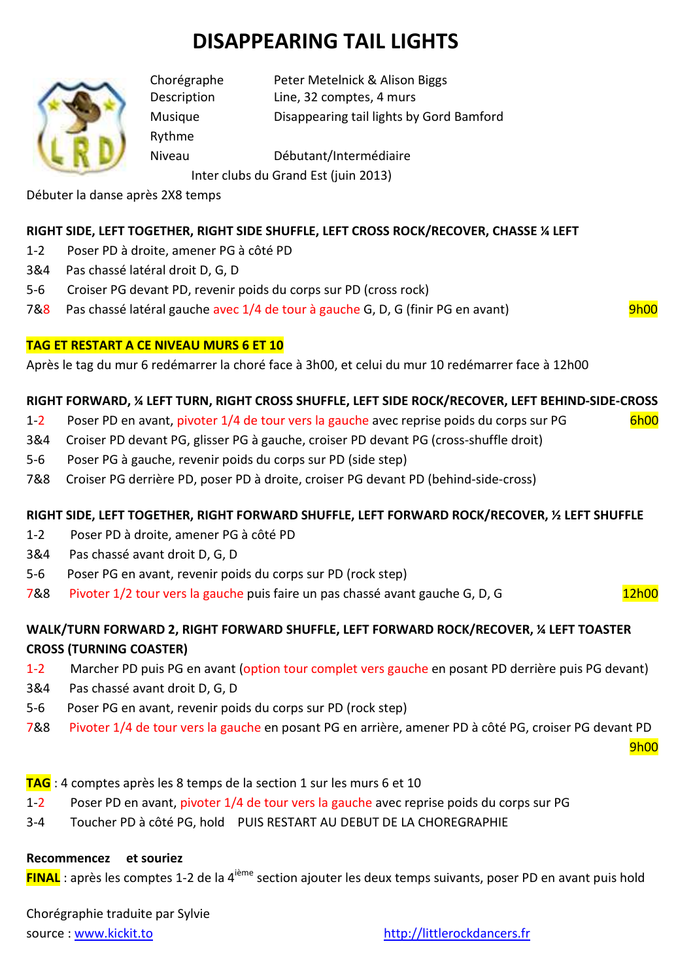# **DISAPPEARING TAIL LIGHTS**



Rythme

Chorégraphe Peter Metelnick & Alison Biggs Description Line, 32 comptes, 4 murs

Musique Disappearing tail lights by Gord Bamford

Niveau Débutant/Intermédiaire

Inter clubs du Grand Est (juin 2013)

Débuter la danse après 2X8 temps

# **RIGHT SIDE, LEFT TOGETHER, RIGHT SIDE SHUFFLE, LEFT CROSS ROCK/RECOVER, CHASSE ¼ LEFT**

- 1-2 Poser PD à droite, amener PG à côté PD
- 3&4 Pas chassé latéral droit D, G, D
- 5-6 Croiser PG devant PD, revenir poids du corps sur PD (cross rock)
- 7&8 Pas chassé latéral gauche avec 1/4 de tour à gauche G, D, G (finir PG en avant) 9h00

# **TAG ET RESTART A CE NIVEAU MURS 6 ET 10**

Après le tag du mur 6 redémarrer la choré face à 3h00, et celui du mur 10 redémarrer face à 12h00

# **RIGHT FORWARD, ¼ LEFT TURN, RIGHT CROSS SHUFFLE, LEFT SIDE ROCK/RECOVER, LEFT BEHIND-SIDE-CROSS**

- 1-2 Poser PD en avant, pivoter 1/4 de tour vers la gauche avec reprise poids du corps sur PG 6h00
- 3&4 Croiser PD devant PG, glisser PG à gauche, croiser PD devant PG (cross-shuffle droit)
- 5-6 Poser PG à gauche, revenir poids du corps sur PD (side step)
- 7&8 Croiser PG derrière PD, poser PD à droite, croiser PG devant PD (behind-side-cross)

# **RIGHT SIDE, LEFT TOGETHER, RIGHT FORWARD SHUFFLE, LEFT FORWARD ROCK/RECOVER, ½ LEFT SHUFFLE**

- 1-2 Poser PD à droite, amener PG à côté PD
- 3&4 Pas chassé avant droit D, G, D
- 5-6 Poser PG en avant, revenir poids du corps sur PD (rock step)
- 7&8 Pivoter 1/2 tour vers la gauche puis faire un pas chassé avant gauche G, D, G 12h00

# **WALK/TURN FORWARD 2, RIGHT FORWARD SHUFFLE, LEFT FORWARD ROCK/RECOVER, ¼ LEFT TOASTER CROSS (TURNING COASTER)**

- 1-2 Marcher PD puis PG en avant (option tour complet vers gauche en posant PD derrière puis PG devant)
- 3&4 Pas chassé avant droit D, G, D
- 5-6 Poser PG en avant, revenir poids du corps sur PD (rock step)
- 7&8 Pivoter 1/4 de tour vers la gauche en posant PG en arrière, amener PD à côté PG, croiser PG devant PD

en de la provincia de la provincia de la provincia de la provincia de la provincia de la provincia de la provi

- **TAG** : 4 comptes après les 8 temps de la section 1 sur les murs 6 et 10
- 1-2 Poser PD en avant, pivoter 1/4 de tour vers la gauche avec reprise poids du corps sur PG
- 3-4 Toucher PD à côté PG, hold PUIS RESTART AU DEBUT DE LA CHOREGRAPHIE

### **Recommencez et souriez**

**FINAL** : après les comptes 1-2 de la 4<sup>ième</sup> section ajouter les deux temps suivants, poser PD en avant puis hold

Chorégraphie traduite par Sylvie source : www.kickit.to http://littlerockdancers.fr